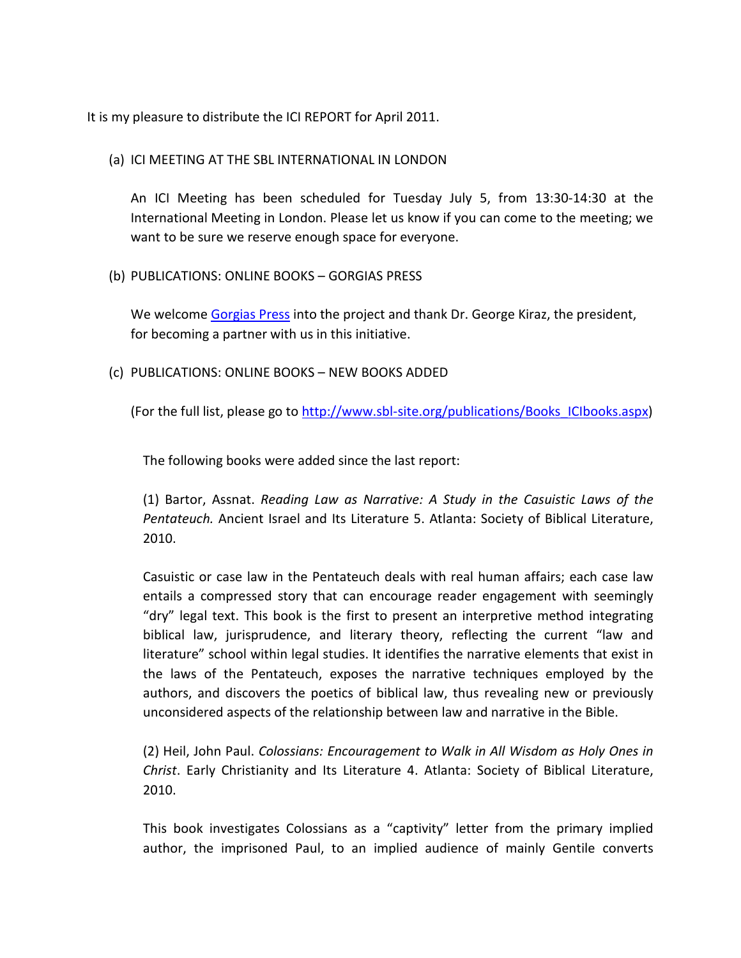It is my pleasure to distribute the ICI REPORT for April 2011.

# (a) ICI MEETING AT THE SBL INTERNATIONAL IN LONDON

An ICI Meeting has been scheduled for Tuesday July 5, from 13:30-14:30 at the International Meeting in London. Please let us know if you can come to the meeting; we want to be sure we reserve enough space for everyone.

(b) PUBLICATIONS: ONLINE BOOKS – GORGIAS PRESS

We welcome [Gorgias Press](http://www.gorgiaspress.com/) into the project and thank Dr. George Kiraz, the president, for becoming a partner with us in this initiative.

(c) PUBLICATIONS: ONLINE BOOKS – NEW BOOKS ADDED

(For the full list, please go to [http://www.sbl-site.org/publications/Books\\_ICIbooks.aspx\)](http://www.sbl-site.org/publications/Books_ICIbooks.aspx)

The following books were added since the last report:

(1) Bartor, Assnat. *Reading Law as Narrative: A Study in the Casuistic Laws of the Pentateuch.* Ancient Israel and Its Literature 5. Atlanta: Society of Biblical Literature, 2010.

Casuistic or case law in the Pentateuch deals with real human affairs; each case law entails a compressed story that can encourage reader engagement with seemingly "dry" legal text. This book is the first to present an interpretive method integrating biblical law, jurisprudence, and literary theory, reflecting the current "law and literature" school within legal studies. It identifies the narrative elements that exist in the laws of the Pentateuch, exposes the narrative techniques employed by the authors, and discovers the poetics of biblical law, thus revealing new or previously unconsidered aspects of the relationship between law and narrative in the Bible.

(2) Heil, John Paul. *Colossians: Encouragement to Walk in All Wisdom as Holy Ones in Christ*. Early Christianity and Its Literature 4. Atlanta: Society of Biblical Literature, 2010.

This book investigates Colossians as a "captivity" letter from the primary implied author, the imprisoned Paul, to an implied audience of mainly Gentile converts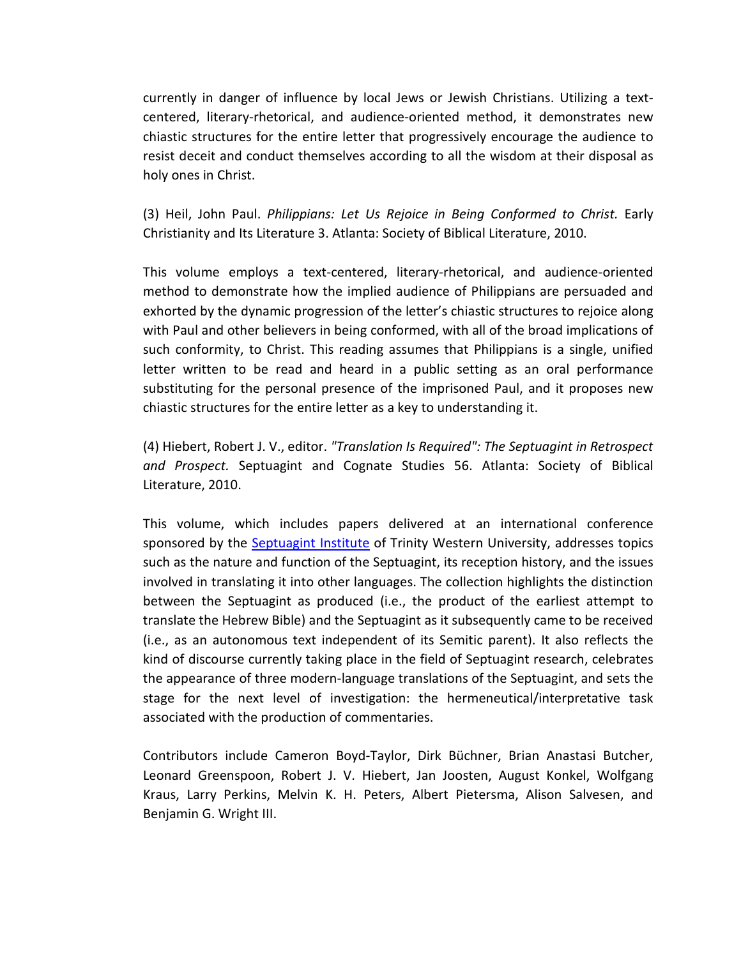currently in danger of influence by local Jews or Jewish Christians. Utilizing a textcentered, literary-rhetorical, and audience-oriented method, it demonstrates new chiastic structures for the entire letter that progressively encourage the audience to resist deceit and conduct themselves according to all the wisdom at their disposal as holy ones in Christ.

(3) Heil, John Paul. *Philippians: Let Us Rejoice in Being Conformed to Christ.* Early Christianity and Its Literature 3. Atlanta: Society of Biblical Literature, 2010.

This volume employs a text-centered, literary-rhetorical, and audience-oriented method to demonstrate how the implied audience of Philippians are persuaded and exhorted by the dynamic progression of the letter's chiastic structures to rejoice along with Paul and other believers in being conformed, with all of the broad implications of such conformity, to Christ. This reading assumes that Philippians is a single, unified letter written to be read and heard in a public setting as an oral performance substituting for the personal presence of the imprisoned Paul, and it proposes new chiastic structures for the entire letter as a key to understanding it.

(4) Hiebert, Robert J. V., editor. *"Translation Is Required": The Septuagint in Retrospect and Prospect.* Septuagint and Cognate Studies 56. Atlanta: Society of Biblical Literature, 2010.

This volume, which includes papers delivered at an international conference sponsored by the [Septuagint Institute](http://twu.ca/sites/septuagint/) of Trinity Western University, addresses topics such as the nature and function of the Septuagint, its reception history, and the issues involved in translating it into other languages. The collection highlights the distinction between the Septuagint as produced (i.e., the product of the earliest attempt to translate the Hebrew Bible) and the Septuagint as it subsequently came to be received (i.e., as an autonomous text independent of its Semitic parent). It also reflects the kind of discourse currently taking place in the field of Septuagint research, celebrates the appearance of three modern-language translations of the Septuagint, and sets the stage for the next level of investigation: the hermeneutical/interpretative task associated with the production of commentaries.

Contributors include Cameron Boyd-Taylor, Dirk Büchner, Brian Anastasi Butcher, Leonard Greenspoon, Robert J. V. Hiebert, Jan Joosten, August Konkel, Wolfgang Kraus, Larry Perkins, Melvin K. H. Peters, Albert Pietersma, Alison Salvesen, and Benjamin G. Wright III.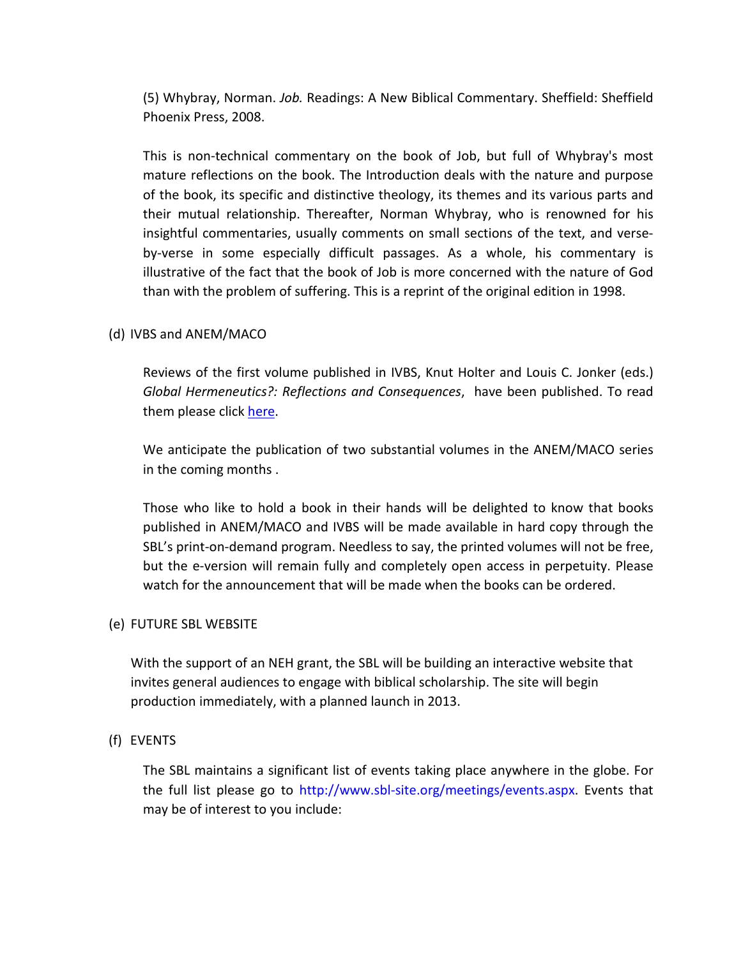(5) Whybray, Norman. *Job.* Readings: A New Biblical Commentary. Sheffield: Sheffield Phoenix Press, 2008.

This is non-technical commentary on the book of Job, but full of Whybray's most mature reflections on the book. The Introduction deals with the nature and purpose of the book, its specific and distinctive theology, its themes and its various parts and their mutual relationship. Thereafter, Norman Whybray, who is renowned for his insightful commentaries, usually comments on small sections of the text, and verseby-verse in some especially difficult passages. As a whole, his commentary is illustrative of the fact that the book of Job is more concerned with the nature of God than with the problem of suffering. This is a reprint of the original edition in 1998.

### (d) IVBS and ANEM/MACO

Reviews of the first volume published in IVBS, Knut Holter and Louis C. Jonker (eds.) *Global Hermeneutics?: Reflections and Consequences*, have been published. To read them please click [here.](http://www.bookreviews.org/bookdetail.asp?TitleId=7683&CodePage=6894,2334,7683)

We anticipate the publication of two substantial volumes in the ANEM/MACO series in the coming months .

Those who like to hold a book in their hands will be delighted to know that books published in ANEM/MACO and IVBS will be made available in hard copy through the SBL's print-on-demand program. Needless to say, the printed volumes will not be free, but the e-version will remain fully and completely open access in perpetuity. Please watch for the announcement that will be made when the books can be ordered.

#### (e) FUTURE SBL WEBSITE

With the support of an NEH grant, the SBL will be building an interactive website that invites general audiences to engage with biblical scholarship. The site will begin production immediately, with a planned launch in 2013.

#### (f) EVENTS

The SBL maintains a significant list of events taking place anywhere in the globe. For the full list please go to http://www.sbl-site.org/meetings/events.aspx. Events that may be of interest to you include: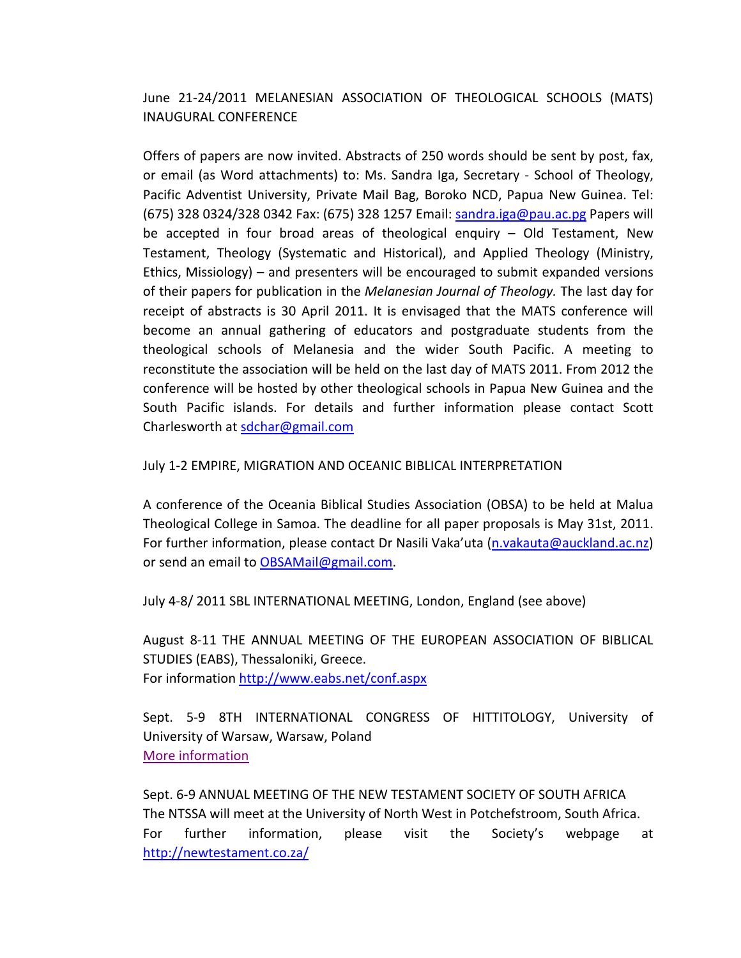June 21-24/2011 MELANESIAN ASSOCIATION OF THEOLOGICAL SCHOOLS (MATS) INAUGURAL CONFERENCE

Offers of papers are now invited. Abstracts of 250 words should be sent by post, fax, or email (as Word attachments) to: Ms. Sandra Iga, Secretary - School of Theology, Pacific Adventist University, Private Mail Bag, Boroko NCD, Papua New Guinea. Tel: (675) 328 0324/328 0342 Fax: (675) 328 1257 Email: [sandra.iga@pau.ac.pg](mailto:sandra.iga@pau.ac.pg) Papers will be accepted in four broad areas of theological enquiry – Old Testament, New Testament, Theology (Systematic and Historical), and Applied Theology (Ministry, Ethics, Missiology) – and presenters will be encouraged to submit expanded versions of their papers for publication in the *Melanesian Journal of Theology.* The last day for receipt of abstracts is 30 April 2011. It is envisaged that the MATS conference will become an annual gathering of educators and postgraduate students from the theological schools of Melanesia and the wider South Pacific. A meeting to reconstitute the association will be held on the last day of MATS 2011. From 2012 the conference will be hosted by other theological schools in Papua New Guinea and the South Pacific islands. For details and further information please contact Scott Charlesworth at [sdchar@gmail.com](mailto:sdchar@gmail.com)

## July 1-2 EMPIRE, MIGRATION AND OCEANIC BIBLICAL INTERPRETATION

A conference of the Oceania Biblical Studies Association (OBSA) to be held at Malua Theological College in Samoa. The deadline for all paper proposals is May 31st, 2011. For further information, please contact Dr Nasili Vaka'uta [\(n.vakauta@auckland.ac.nz\)](mailto:n.vakauta@auckland.ac.nz) or send an email to [OBSAMail@gmail.com.](mailto:OBSAMail@gmail.com)

July 4-8/ 2011 SBL INTERNATIONAL MEETING, London, England (see above)

August 8-11 THE ANNUAL MEETING OF THE EUROPEAN ASSOCIATION OF BIBLICAL STUDIES (EABS), Thessaloniki, Greece. For information<http://www.eabs.net/conf.aspx>

Sept. 5-9 8TH INTERNATIONAL CONGRESS OF HITTITOLOGY, University of University of Warsaw, Warsaw, Poland [More information](http://hittitology.pl/)

Sept. 6-9 ANNUAL MEETING OF THE NEW TESTAMENT SOCIETY OF SOUTH AFRICA The NTSSA will meet at the University of North West in Potchefstroom, South Africa. For further information, please visit the Society's webpage at <http://newtestament.co.za/>